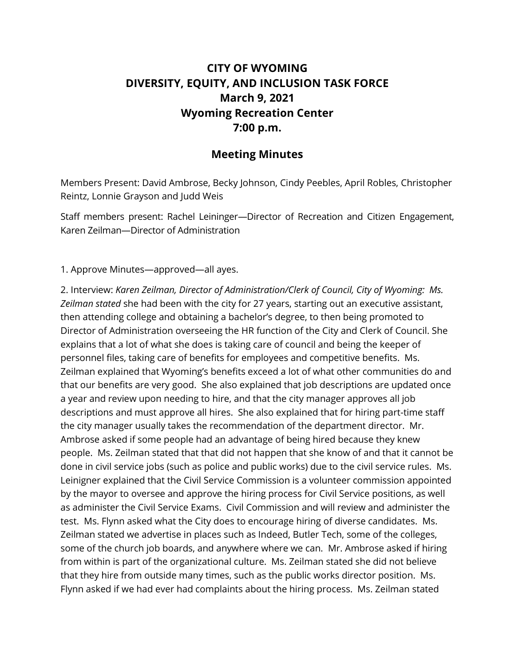## **CITY OF WYOMING DIVERSITY, EQUITY, AND INCLUSION TASK FORCE March 9, 2021 Wyoming Recreation Center 7:00 p.m.**

## **Meeting Minutes**

Members Present: David Ambrose, Becky Johnson, Cindy Peebles, April Robles, Christopher Reintz, Lonnie Grayson and Judd Weis

Staff members present: Rachel Leininger—Director of Recreation and Citizen Engagement, Karen Zeilman—Director of Administration

1. Approve Minutes—approved—all ayes.

2. Interview: *Karen Zeilman, Director of Administration/Clerk of Council, City of Wyoming: Ms. Zeilman stated* she had been with the city for 27 years, starting out an executive assistant, then attending college and obtaining a bachelor's degree, to then being promoted to Director of Administration overseeing the HR function of the City and Clerk of Council. She explains that a lot of what she does is taking care of council and being the keeper of personnel files, taking care of benefits for employees and competitive benefits. Ms. Zeilman explained that Wyoming's benefits exceed a lot of what other communities do and that our benefits are very good. She also explained that job descriptions are updated once a year and review upon needing to hire, and that the city manager approves all job descriptions and must approve all hires. She also explained that for hiring part-time staff the city manager usually takes the recommendation of the department director. Mr. Ambrose asked if some people had an advantage of being hired because they knew people. Ms. Zeilman stated that that did not happen that she know of and that it cannot be done in civil service jobs (such as police and public works) due to the civil service rules. Ms. Leinigner explained that the Civil Service Commission is a volunteer commission appointed by the mayor to oversee and approve the hiring process for Civil Service positions, as well as administer the Civil Service Exams. Civil Commission and will review and administer the test. Ms. Flynn asked what the City does to encourage hiring of diverse candidates. Ms. Zeilman stated we advertise in places such as Indeed, Butler Tech, some of the colleges, some of the church job boards, and anywhere where we can. Mr. Ambrose asked if hiring from within is part of the organizational culture. Ms. Zeilman stated she did not believe that they hire from outside many times, such as the public works director position. Ms. Flynn asked if we had ever had complaints about the hiring process. Ms. Zeilman stated